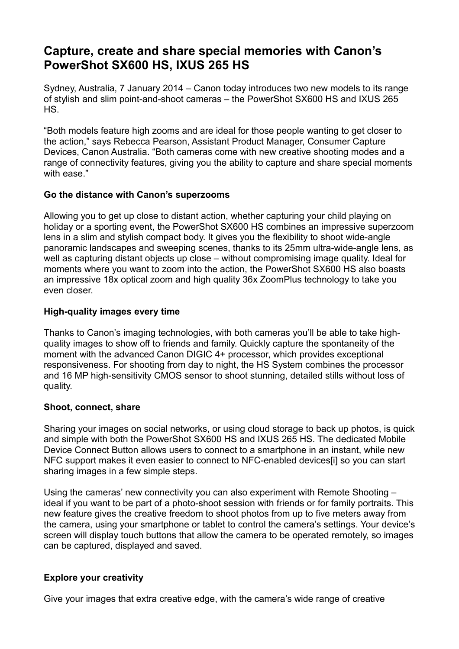# **Capture, create and share special memories with Canon's PowerShot SX600 HS, IXUS 265 HS**

Sydney, Australia, 7 January 2014 – Canon today introduces two new models to its range of stylish and slim point-and-shoot cameras – the PowerShot SX600 HS and IXUS 265 HS.

"Both models feature high zooms and are ideal for those people wanting to get closer to the action," says Rebecca Pearson, Assistant Product Manager, Consumer Capture Devices, Canon Australia. "Both cameras come with new creative shooting modes and a range of connectivity features, giving you the ability to capture and share special moments with ease."

## **Go the distance with Canon's superzooms**

Allowing you to get up close to distant action, whether capturing your child playing on holiday or a sporting event, the PowerShot SX600 HS combines an impressive superzoom lens in a slim and stylish compact body. It gives you the flexibility to shoot wide-angle panoramic landscapes and sweeping scenes, thanks to its 25mm ultra-wide-angle lens, as well as capturing distant objects up close – without compromising image quality. Ideal for moments where you want to zoom into the action, the PowerShot SX600 HS also boasts an impressive 18x optical zoom and high quality 36x ZoomPlus technology to take you even closer.

## **High-quality images every time**

Thanks to Canon's imaging technologies, with both cameras you'll be able to take highquality images to show off to friends and family. Quickly capture the spontaneity of the moment with the advanced Canon DIGIC 4+ processor, which provides exceptional responsiveness. For shooting from day to night, the HS System combines the processor and 16 MP high-sensitivity CMOS sensor to shoot stunning, detailed stills without loss of quality.

### **Shoot, connect, share**

Sharing your images on social networks, or using cloud storage to back up photos, is quick and simple with both the PowerShot SX600 HS and IXUS 265 HS. The dedicated Mobile Device Connect Button allows users to connect to a smartphone in an instant, while new NFC support makes it even easier to connect to NFC-enabled devices[i] so you can start sharing images in a few simple steps.

Using the cameras' new connectivity you can also experiment with Remote Shooting – ideal if you want to be part of a photo-shoot session with friends or for family portraits. This new feature gives the creative freedom to shoot photos from up to five meters away from the camera, using your smartphone or tablet to control the camera's settings. Your device's screen will display touch buttons that allow the camera to be operated remotely, so images can be captured, displayed and saved.

# **Explore your creativity**

Give your images that extra creative edge, with the camera's wide range of creative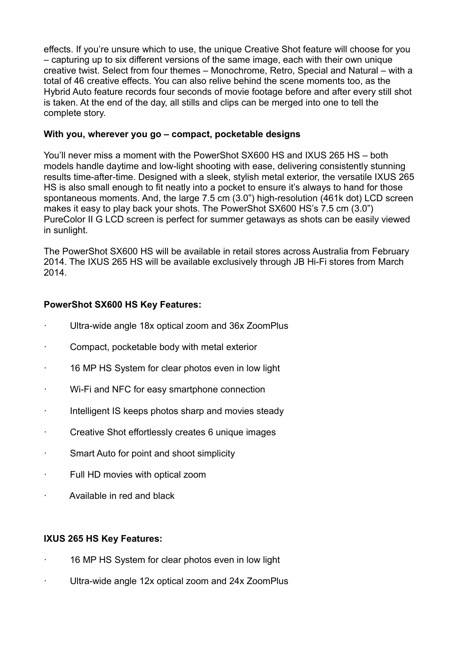effects. If you're unsure which to use, the unique Creative Shot feature will choose for you – capturing up to six different versions of the same image, each with their own unique creative twist. Select from four themes – Monochrome, Retro, Special and Natural – with a total of 46 creative effects. You can also relive behind the scene moments too, as the Hybrid Auto feature records four seconds of movie footage before and after every still shot is taken. At the end of the day, all stills and clips can be merged into one to tell the complete story.

## **With you, wherever you go – compact, pocketable designs**

You'll never miss a moment with the PowerShot SX600 HS and IXUS 265 HS – both models handle daytime and low-light shooting with ease, delivering consistently stunning results time-after-time. Designed with a sleek, stylish metal exterior, the versatile IXUS 265 HS is also small enough to fit neatly into a pocket to ensure it's always to hand for those spontaneous moments. And, the large 7.5 cm (3.0") high-resolution (461k dot) LCD screen makes it easy to play back your shots. The PowerShot SX600 HS's 7.5 cm (3.0") PureColor II G LCD screen is perfect for summer getaways as shots can be easily viewed in sunlight.

The PowerShot SX600 HS will be available in retail stores across Australia from February 2014. The IXUS 265 HS will be available exclusively through JB Hi-Fi stores from March 2014.

## **PowerShot SX600 HS Key Features:**

- Ultra-wide angle 18x optical zoom and 36x ZoomPlus
- · Compact, pocketable body with metal exterior
- 16 MP HS System for clear photos even in low light
- · Wi-Fi and NFC for easy smartphone connection
- · Intelligent IS keeps photos sharp and movies steady
- · Creative Shot effortlessly creates 6 unique images
- · Smart Auto for point and shoot simplicity
- · Full HD movies with optical zoom
- · Available in red and black

### **IXUS 265 HS Key Features:**

- 16 MP HS System for clear photos even in low light
- Ultra-wide angle 12x optical zoom and 24x ZoomPlus